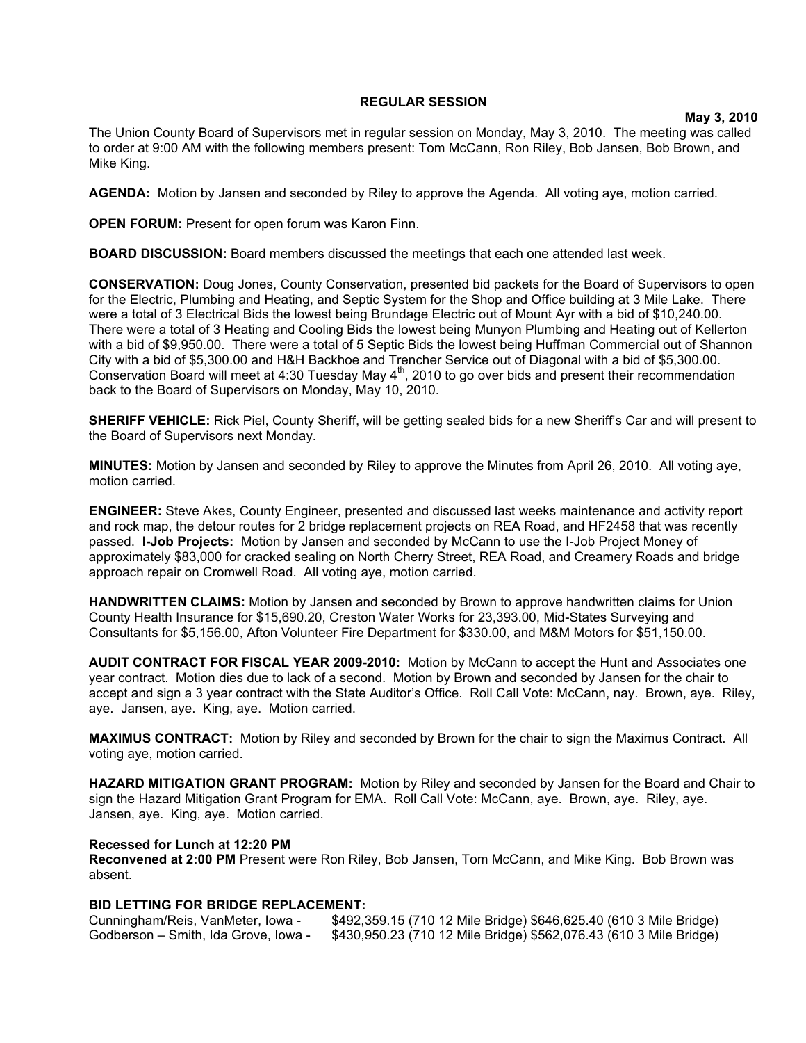## **REGULAR SESSION**

**May 3, 2010**

The Union County Board of Supervisors met in regular session on Monday, May 3, 2010. The meeting was called to order at 9:00 AM with the following members present: Tom McCann, Ron Riley, Bob Jansen, Bob Brown, and Mike King.

**AGENDA:** Motion by Jansen and seconded by Riley to approve the Agenda. All voting aye, motion carried.

**OPEN FORUM:** Present for open forum was Karon Finn.

**BOARD DISCUSSION:** Board members discussed the meetings that each one attended last week.

**CONSERVATION:** Doug Jones, County Conservation, presented bid packets for the Board of Supervisors to open for the Electric, Plumbing and Heating, and Septic System for the Shop and Office building at 3 Mile Lake. There were a total of 3 Electrical Bids the lowest being Brundage Electric out of Mount Ayr with a bid of \$10,240.00. There were a total of 3 Heating and Cooling Bids the lowest being Munyon Plumbing and Heating out of Kellerton with a bid of \$9,950.00. There were a total of 5 Septic Bids the lowest being Huffman Commercial out of Shannon City with a bid of \$5,300.00 and H&H Backhoe and Trencher Service out of Diagonal with a bid of \$5,300.00. Conservation Board will meet at 4:30 Tuesday May 4<sup>th</sup>, 2010 to go over bids and present their recommendation back to the Board of Supervisors on Monday, May 10, 2010.

**SHERIFF VEHICLE:** Rick Piel, County Sheriff, will be getting sealed bids for a new Sheriff's Car and will present to the Board of Supervisors next Monday.

**MINUTES:** Motion by Jansen and seconded by Riley to approve the Minutes from April 26, 2010. All voting aye, motion carried.

**ENGINEER:** Steve Akes, County Engineer, presented and discussed last weeks maintenance and activity report and rock map, the detour routes for 2 bridge replacement projects on REA Road, and HF2458 that was recently passed. **I-Job Projects:** Motion by Jansen and seconded by McCann to use the I-Job Project Money of approximately \$83,000 for cracked sealing on North Cherry Street, REA Road, and Creamery Roads and bridge approach repair on Cromwell Road. All voting aye, motion carried.

**HANDWRITTEN CLAIMS:** Motion by Jansen and seconded by Brown to approve handwritten claims for Union County Health Insurance for \$15,690.20, Creston Water Works for 23,393.00, Mid-States Surveying and Consultants for \$5,156.00, Afton Volunteer Fire Department for \$330.00, and M&M Motors for \$51,150.00.

**AUDIT CONTRACT FOR FISCAL YEAR 2009-2010:** Motion by McCann to accept the Hunt and Associates one year contract. Motion dies due to lack of a second. Motion by Brown and seconded by Jansen for the chair to accept and sign a 3 year contract with the State Auditor's Office. Roll Call Vote: McCann, nay. Brown, aye. Riley, aye. Jansen, aye. King, aye. Motion carried.

**MAXIMUS CONTRACT:** Motion by Riley and seconded by Brown for the chair to sign the Maximus Contract. All voting aye, motion carried.

**HAZARD MITIGATION GRANT PROGRAM:** Motion by Riley and seconded by Jansen for the Board and Chair to sign the Hazard Mitigation Grant Program for EMA. Roll Call Vote: McCann, aye. Brown, aye. Riley, aye. Jansen, aye. King, aye. Motion carried.

## **Recessed for Lunch at 12:20 PM**

**Reconvened at 2:00 PM** Present were Ron Riley, Bob Jansen, Tom McCann, and Mike King. Bob Brown was absent.

## **BID LETTING FOR BRIDGE REPLACEMENT:**

Cunningham/Reis, VanMeter, Iowa - \$492,359.15 (710 12 Mile Bridge) \$646,625.40 (610 3 Mile Bridge) Godberson – Smith, Ida Grove, Iowa - \$430,950.23 (710 12 Mile Bridge) \$562,076.43 (610 3 Mile Bridge)